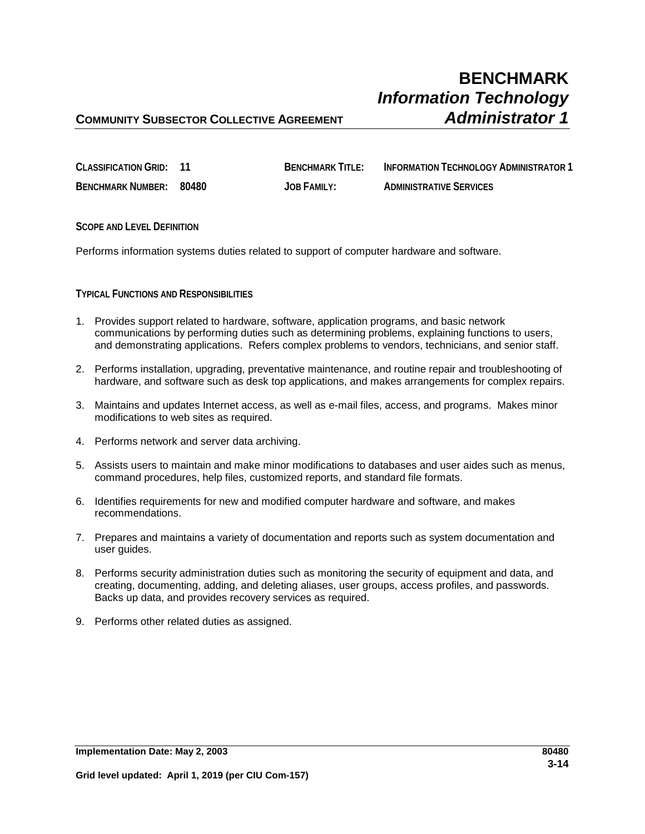# **COMMUNITY SUBSECTOR COLLECTIVE AGREEMENT** *Administrator 1*

| <b>CLASSIFICATION GRID: 11</b> |       | <b>BENCHMARK TITI F:</b> | INFORMATION TECHNOLOGY ADMINISTRATOR 1 |
|--------------------------------|-------|--------------------------|----------------------------------------|
| <b>BENCHMARK NUMBER:</b>       | 80480 | JOB FAMILY:              | <b>ADMINISTRATIVE SERVICES</b>         |

**SCOPE AND LEVEL DEFINITION**

Performs information systems duties related to support of computer hardware and software.

#### **TYPICAL FUNCTIONS AND RESPONSIBILITIES**

- 1. Provides support related to hardware, software, application programs, and basic network communications by performing duties such as determining problems, explaining functions to users, and demonstrating applications. Refers complex problems to vendors, technicians, and senior staff.
- 2. Performs installation, upgrading, preventative maintenance, and routine repair and troubleshooting of hardware, and software such as desk top applications, and makes arrangements for complex repairs.
- 3. Maintains and updates Internet access, as well as e-mail files, access, and programs. Makes minor modifications to web sites as required.
- 4. Performs network and server data archiving.
- 5. Assists users to maintain and make minor modifications to databases and user aides such as menus, command procedures, help files, customized reports, and standard file formats.
- 6. Identifies requirements for new and modified computer hardware and software, and makes recommendations.
- 7. Prepares and maintains a variety of documentation and reports such as system documentation and user guides.
- 8. Performs security administration duties such as monitoring the security of equipment and data, and creating, documenting, adding, and deleting aliases, user groups, access profiles, and passwords. Backs up data, and provides recovery services as required.
- 9. Performs other related duties as assigned.